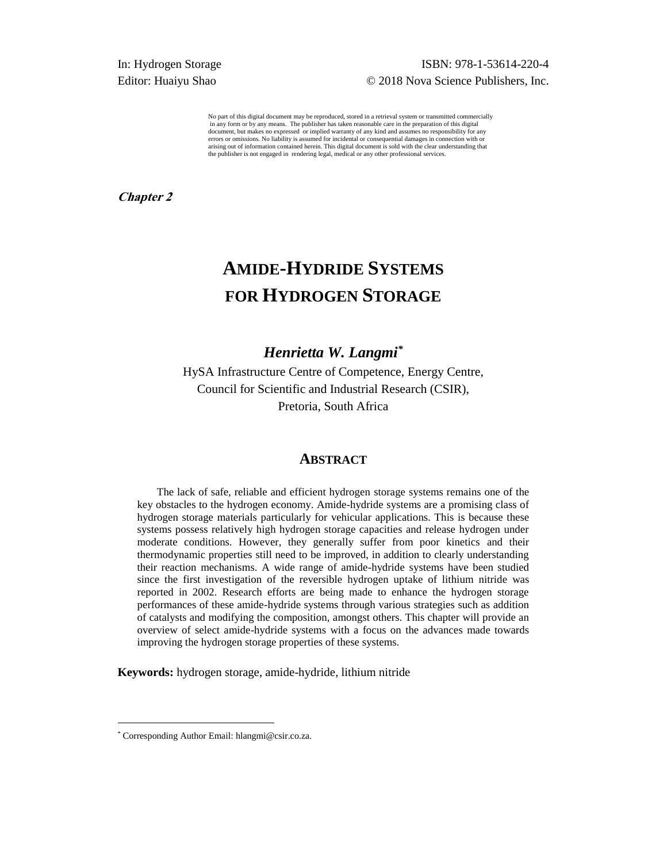## In: Hydrogen Storage ISBN: 978-1-53614-220-4 Editor: Huaiyu Shao  $\degree$  2018 Nova Science Publishers, Inc.

No part of this digital document may be reproduced, stored in a retrieval system or transmitted commercially in any form or by any means. The publisher has taken reasonable care in the preparation of this digital document, but makes no expressed or implied warranty of any kind and assumes no responsibility for any errors or omissions. No liability is assumed for incidental or consequential damages in connection with or arising out of information contained herein. This digital document is sold with the clear understanding that the publisher is not engaged in rendering legal, medical or any other professional services.

**Chapter 2** 

# **AMIDE-HYDRIDE SYSTEMS FOR HYDROGEN STORAGE**

# *Henrietta W. Langmi\**

HySA Infrastructure Centre of Competence, Energy Centre, Council for Scientific and Industrial Research (CSIR), Pretoria, South Africa

#### **ABSTRACT**

The lack of safe, reliable and efficient hydrogen storage systems remains one of the key obstacles to the hydrogen economy. Amide-hydride systems are a promising class of hydrogen storage materials particularly for vehicular applications. This is because these systems possess relatively high hydrogen storage capacities and release hydrogen under moderate conditions. However, they generally suffer from poor kinetics and their thermodynamic properties still need to be improved, in addition to clearly understanding their reaction mechanisms. A wide range of amide-hydride systems have been studied since the first investigation of the reversible hydrogen uptake of lithium nitride was reported in 2002. Research efforts are being made to enhance the hydrogen storage performances of these amide-hydride systems through various strategies such as addition of catalysts and modifying the composition, amongst others. This chapter will provide an overview of select amide-hydride systems with a focus on the advances made towards improving the hydrogen storage properties of these systems.

**Keywords:** hydrogen storage, amide-hydride, lithium nitride

l

<sup>\*</sup> Corresponding Author Email: hlangmi@csir.co.za.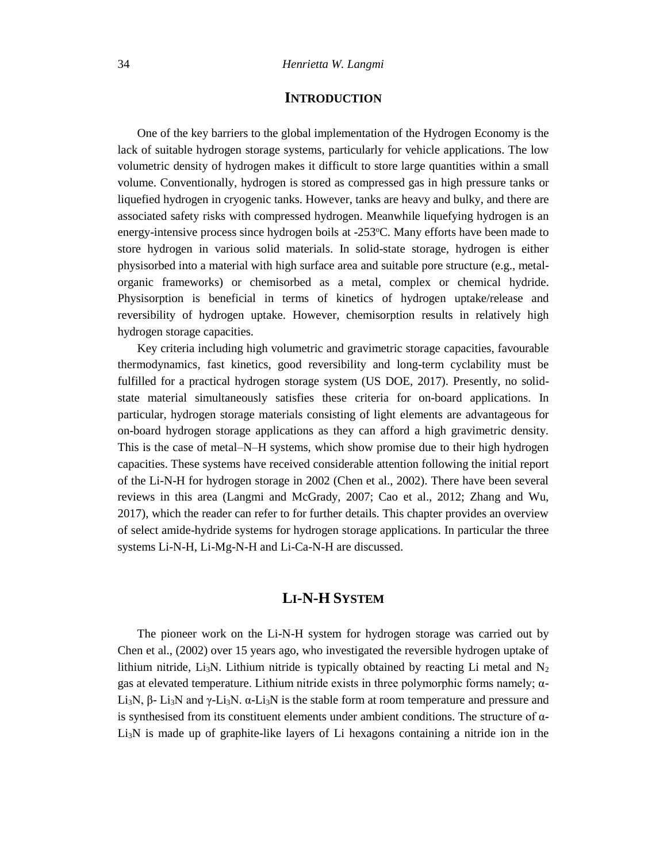## **INTRODUCTION**

One of the key barriers to the global implementation of the Hydrogen Economy is the lack of suitable hydrogen storage systems, particularly for vehicle applications. The low volumetric density of hydrogen makes it difficult to store large quantities within a small volume. Conventionally, hydrogen is stored as compressed gas in high pressure tanks or liquefied hydrogen in cryogenic tanks. However, tanks are heavy and bulky, and there are associated safety risks with compressed hydrogen. Meanwhile liquefying hydrogen is an energy-intensive process since hydrogen boils at -253°C. Many efforts have been made to store hydrogen in various solid materials. In solid-state storage, hydrogen is either physisorbed into a material with high surface area and suitable pore structure (e.g., metalorganic frameworks) or chemisorbed as a metal, complex or chemical hydride. Physisorption is beneficial in terms of kinetics of hydrogen uptake/release and reversibility of hydrogen uptake. However, chemisorption results in relatively high hydrogen storage capacities.

Key criteria including high volumetric and gravimetric storage capacities, favourable thermodynamics, fast kinetics, good reversibility and long-term cyclability must be fulfilled for a practical hydrogen storage system (US DOE, 2017). Presently, no solidstate material simultaneously satisfies these criteria for on-board applications. In particular, hydrogen storage materials consisting of light elements are advantageous for on-board hydrogen storage applications as they can afford a high gravimetric density. This is the case of metal–N–H systems, which show promise due to their high hydrogen capacities. These systems have received considerable attention following the initial report of the Li-N-H for hydrogen storage in 2002 (Chen et al., 2002). There have been several reviews in this area (Langmi and McGrady, 2007; Cao et al., 2012; Zhang and Wu, 2017), which the reader can refer to for further details. This chapter provides an overview of select amide-hydride systems for hydrogen storage applications. In particular the three systems Li-N-H, Li-Mg-N-H and Li-Ca-N-H are discussed.

### **LI-N-H SYSTEM**

The pioneer work on the Li-N-H system for hydrogen storage was carried out by Chen et al., (2002) over 15 years ago, who investigated the reversible hydrogen uptake of lithium nitride, Li<sub>3</sub>N. Lithium nitride is typically obtained by reacting Li metal and  $N_2$ gas at elevated temperature. Lithium nitride exists in three polymorphic forms namely; α-Li<sub>3</sub>N, β- Li<sub>3</sub>N and γ-Li<sub>3</sub>N. α-Li<sub>3</sub>N is the stable form at room temperature and pressure and is synthesised from its constituent elements under ambient conditions. The structure of  $\alpha$ -Li3N is made up of graphite-like layers of Li hexagons containing a nitride ion in the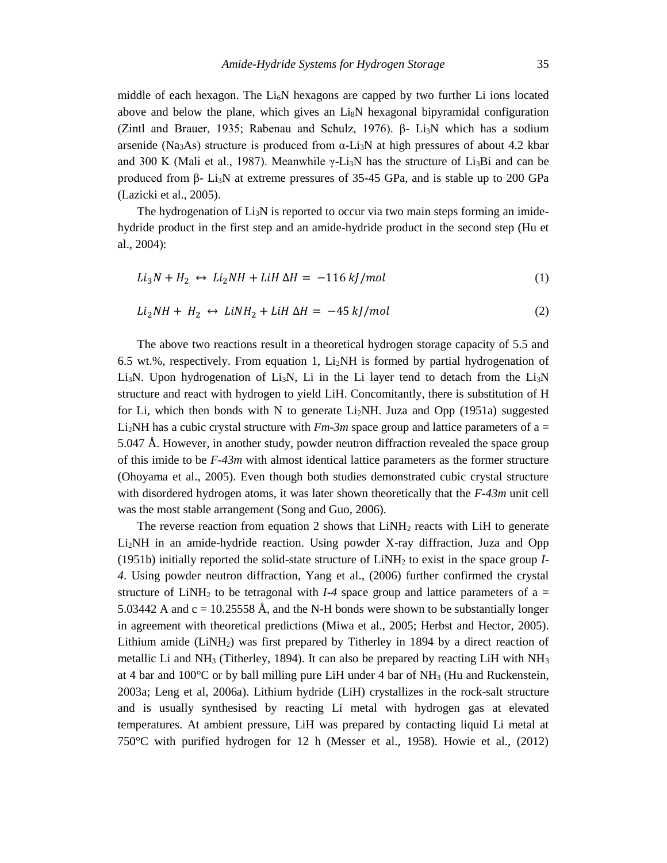middle of each hexagon. The Li<sub>6</sub>N hexagons are capped by two further Li ions located above and below the plane, which gives an  $L<sub>18</sub>N$  hexagonal bipyramidal configuration (Zintl and Brauer, 1935; Rabenau and Schulz, 1976). β- Li3N which has a sodium arsenide (Na<sub>3</sub>As) structure is produced from  $\alpha$ -Li<sub>3</sub>N at high pressures of about 4.2 kbar and 300 K (Mali et al., 1987). Meanwhile  $\gamma$ -Li<sub>3</sub>N has the structure of Li<sub>3</sub>Bi and can be produced from β- Li<sub>3</sub>N at extreme pressures of 35-45 GPa, and is stable up to 200 GPa (Lazicki et al., 2005).

The hydrogenation of  $Li<sub>3</sub>N$  is reported to occur via two main steps forming an imidehydride product in the first step and an amide-hydride product in the second step (Hu et al., 2004):

$$
Li_3N + H_2 \leftrightarrow Li_2NH + LiH \Delta H = -116 \, kJ/mol \tag{1}
$$

$$
Li_2NH + H_2 \leftrightarrow LiNH_2 + LiH \Delta H = -45 \, kJ/mol \tag{2}
$$

The above two reactions result in a theoretical hydrogen storage capacity of 5.5 and 6.5 wt.%, respectively. From equation 1,  $Li<sub>2</sub>NH$  is formed by partial hydrogenation of Li<sub>3</sub>N. Upon hydrogenation of Li<sub>3</sub>N, Li in the Li layer tend to detach from the Li<sub>3</sub>N structure and react with hydrogen to yield LiH. Concomitantly, there is substitution of H for Li, which then bonds with N to generate  $Li<sub>2</sub>NH$ . Juza and Opp (1951a) suggested Li<sub>2</sub>NH has a cubic crystal structure with  $Fm-3m$  space group and lattice parameters of a = 5.047 Å. However, in another study, powder neutron diffraction revealed the space group of this imide to be *F-43m* with almost identical lattice parameters as the former structure (Ohoyama et al., 2005). Even though both studies demonstrated cubic crystal structure with disordered hydrogen atoms, it was later shown theoretically that the *F-43m* unit cell was the most stable arrangement (Song and Guo, 2006).

The reverse reaction from equation 2 shows that  $LiNH<sub>2</sub>$  reacts with LiH to generate Li2NH in an amide-hydride reaction. Using powder X-ray diffraction, Juza and Opp (1951b) initially reported the solid-state structure of LiNH<sup>2</sup> to exist in the space group *I-4*. Using powder neutron diffraction, Yang et al., (2006) further confirmed the crystal structure of LiNH<sub>2</sub> to be tetragonal with *I-4* space group and lattice parameters of  $a =$ 5.03442 A and  $c = 10.25558$  Å, and the N-H bonds were shown to be substantially longer in agreement with theoretical predictions (Miwa et al., 2005; Herbst and Hector, 2005). Lithium amide  $(LiNH<sub>2</sub>)$  was first prepared by Titherley in 1894 by a direct reaction of metallic Li and  $NH_3$  (Titherley, 1894). It can also be prepared by reacting LiH with  $NH_3$ at 4 bar and  $100^{\circ}$ C or by ball milling pure LiH under 4 bar of NH<sub>3</sub> (Hu and Ruckenstein, 2003a; Leng et al, 2006a). Lithium hydride (LiH) crystallizes in the rock-salt structure and is usually synthesised by reacting Li metal with hydrogen gas at elevated temperatures. At ambient pressure, LiH was prepared by contacting liquid Li metal at 750°C with purified hydrogen for 12 h (Messer et al., 1958). Howie et al., (2012)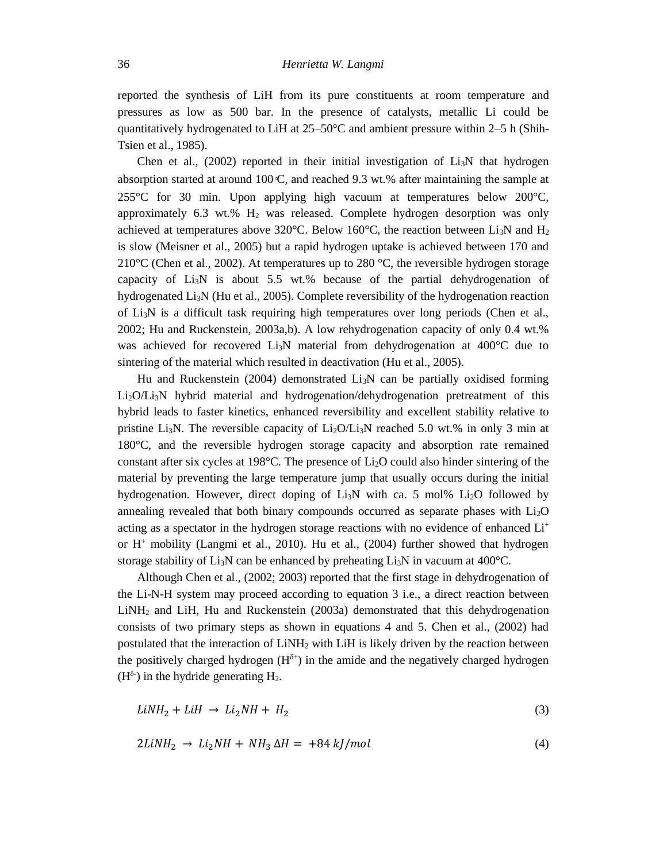reported the synthesis of LiH from its pure constituents at room temperature and pressures as low as 500 bar. In the presence of catalysts, metallic Li could be quantitatively hydrogenated to LiH at  $25-50^{\circ}$ C and ambient pressure within 2–5 h (Shih-Tsien et al., 1985).

Chen et al.,  $(2002)$  reported in their initial investigation of  $Li<sub>3</sub>N$  that hydrogen absorption started at around  $100 \text{ C}$ , and reached 9.3 wt.% after maintaining the sample at 255°C for 30 min. Upon applying high vacuum at temperatures below 200°C, approximately 6.3 wt.%  $H_2$  was released. Complete hydrogen desorption was only achieved at temperatures above 320 °C. Below 160 °C, the reaction between Li<sub>3</sub>N and H<sub>2</sub> is slow (Meisner et al., 2005) but a rapid hydrogen uptake is achieved between 170 and 210 $\rm{^{\circ}C}$  (Chen et al., 2002). At temperatures up to 280  $\rm{^{\circ}C}$ , the reversible hydrogen storage capacity of  $Li<sub>3</sub>N$  is about 5.5 wt.% because of the partial dehydrogenation of hydrogenated  $Li<sub>3</sub>N$  (Hu et al., 2005). Complete reversibility of the hydrogenation reaction of  $Li<sub>3</sub>N$  is a difficult task requiring high temperatures over long periods (Chen et al., 2002; Hu and Ruckenstein, 2003a,b). A low rehydrogenation capacity of only 0.4 wt.% was achieved for recovered Li3N material from dehydrogenation at 400°C due to sintering of the material which resulted in deactivation (Hu et al., 2005).

Hu and Ruckenstein (2004) demonstrated  $Li<sub>3</sub>N$  can be partially oxidised forming Li2O/Li3N hybrid material and hydrogenation/dehydrogenation pretreatment of this hybrid leads to faster kinetics, enhanced reversibility and excellent stability relative to pristine Li<sub>3</sub>N. The reversible capacity of Li<sub>2</sub>O/Li<sub>3</sub>N reached 5.0 wt.% in only 3 min at 180°C, and the reversible hydrogen storage capacity and absorption rate remained constant after six cycles at 198 $^{\circ}$ C. The presence of Li<sub>2</sub>O could also hinder sintering of the material by preventing the large temperature jump that usually occurs during the initial hydrogenation. However, direct doping of  $Li<sub>3</sub>N$  with ca. 5 mol%  $Li<sub>2</sub>O$  followed by annealing revealed that both binary compounds occurred as separate phases with Li2O acting as a spectator in the hydrogen storage reactions with no evidence of enhanced  $Li<sup>+</sup>$ or  $H^+$  mobility (Langmi et al., 2010). Hu et al., (2004) further showed that hydrogen storage stability of  $Li<sub>3</sub>N$  can be enhanced by preheating  $Li<sub>3</sub>N$  in vacuum at 400 $^{\circ}C$ .

Although Chen et al., (2002; 2003) reported that the first stage in dehydrogenation of the Li-N-H system may proceed according to equation 3 i.e., a direct reaction between LiNH<sup>2</sup> and LiH, Hu and Ruckenstein (2003a) demonstrated that this dehydrogenation consists of two primary steps as shown in equations 4 and 5. Chen et al., (2002) had postulated that the interaction of LiNH<sup>2</sup> with LiH is likely driven by the reaction between the positively charged hydrogen  $(H^{\delta+})$  in the amide and the negatively charged hydrogen  $(H^{\delta})$  in the hydride generating H<sub>2</sub>.

$$
LiNH_2 + LiH \rightarrow Li_2NH + H_2 \tag{3}
$$

$$
2LiNH_2 \rightarrow Li_2NH + NH_3 \Delta H = +84 \, kJ/mol \tag{4}
$$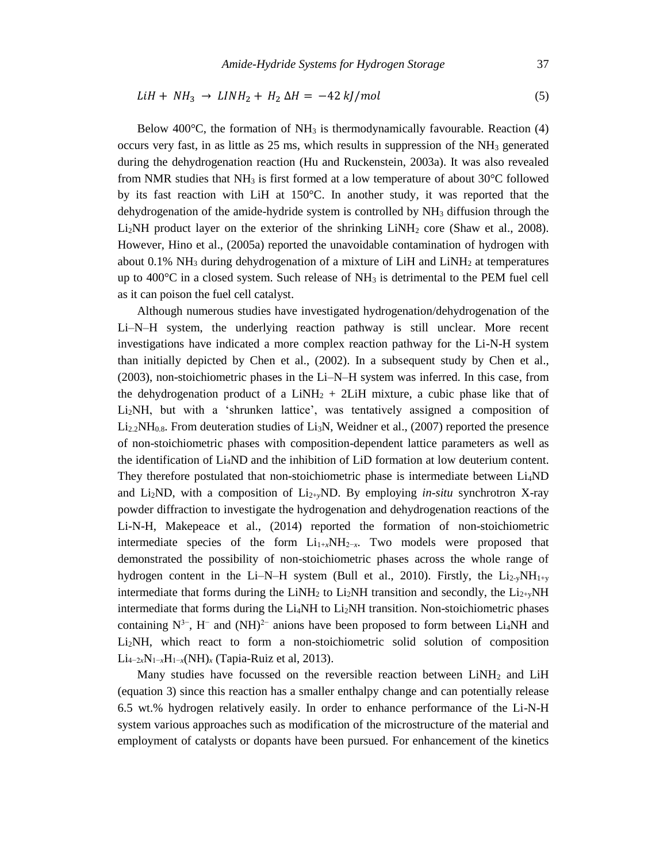$$
LiH + NH_3 \rightarrow LINH_2 + H_2 \Delta H = -42 \, kJ/mol \tag{5}
$$

Below 400 $^{\circ}$ C, the formation of NH<sub>3</sub> is thermodynamically favourable. Reaction (4) occurs very fast, in as little as 25 ms, which results in suppression of the NH<sup>3</sup> generated during the dehydrogenation reaction (Hu and Ruckenstein, 2003a). It was also revealed from NMR studies that NH<sub>3</sub> is first formed at a low temperature of about  $30^{\circ}$ C followed by its fast reaction with LiH at 150°C. In another study, it was reported that the dehydrogenation of the amide-hydride system is controlled by  $NH<sub>3</sub>$  diffusion through the  $Li<sub>2</sub>NH$  product layer on the exterior of the shrinking  $LiNH<sub>2</sub>$  core (Shaw et al., 2008). However, Hino et al., (2005a) reported the unavoidable contamination of hydrogen with about 0.1%  $NH<sub>3</sub>$  during dehydrogenation of a mixture of LiH and LiNH<sub>2</sub> at temperatures up to  $400^{\circ}$ C in a closed system. Such release of NH<sub>3</sub> is detrimental to the PEM fuel cell as it can poison the fuel cell catalyst.

Although numerous studies have investigated hydrogenation/dehydrogenation of the Li–N–H system, the underlying reaction pathway is still unclear. More recent investigations have indicated a more complex reaction pathway for the Li-N-H system than initially depicted by Chen et al., (2002). In a subsequent study by Chen et al., (2003), non-stoichiometric phases in the Li–N–H system was inferred. In this case, from the dehydrogenation product of a LiNH<sub>2</sub> + 2LiH mixture, a cubic phase like that of Li2NH, but with a 'shrunken lattice', was tentatively assigned a composition of  $Li_{2,2}NH_{0.8}$ . From deuteration studies of  $Li_{3}N$ , Weidner et al., (2007) reported the presence of non-stoichiometric phases with composition-dependent lattice parameters as well as the identification of Li4ND and the inhibition of LiD formation at low deuterium content. They therefore postulated that non-stoichiometric phase is intermediate between Li4ND and Li2ND, with a composition of Li2+*y*ND. By employing *in-situ* synchrotron X-ray powder diffraction to investigate the hydrogenation and dehydrogenation reactions of the Li-N-H, Makepeace et al., (2014) reported the formation of non-stoichiometric intermediate species of the form  $Li_{1+x}NH_{2-x}$ . Two models were proposed that demonstrated the possibility of non-stoichiometric phases across the whole range of hydrogen content in the Li–N–H system (Bull et al., 2010). Firstly, the  $Li_{2-y}NH_{1+y}$ intermediate that forms during the LiNH<sub>2</sub> to Li<sub>2</sub>NH transition and secondly, the Li<sub>2+y</sub>NH intermediate that forms during the  $Li<sub>4</sub>NH$  to  $Li<sub>2</sub>NH$  transition. Non-stoichiometric phases containing  $N^{3-}$ , H<sup>-</sup> and  $(NH)^{2-}$  anions have been proposed to form between Li<sub>4</sub>NH and Li2NH, which react to form a non-stoichiometric solid solution of composition Li4−2*x*N1−*x*H1−*x*(NH)*<sup>x</sup>* (Tapia-Ruiz et al, 2013).

Many studies have focussed on the reversible reaction between  $LiNH<sub>2</sub>$  and  $LiH$ (equation 3) since this reaction has a smaller enthalpy change and can potentially release 6.5 wt.% hydrogen relatively easily. In order to enhance performance of the Li-N-H system various approaches such as modification of the microstructure of the material and employment of catalysts or dopants have been pursued. For enhancement of the kinetics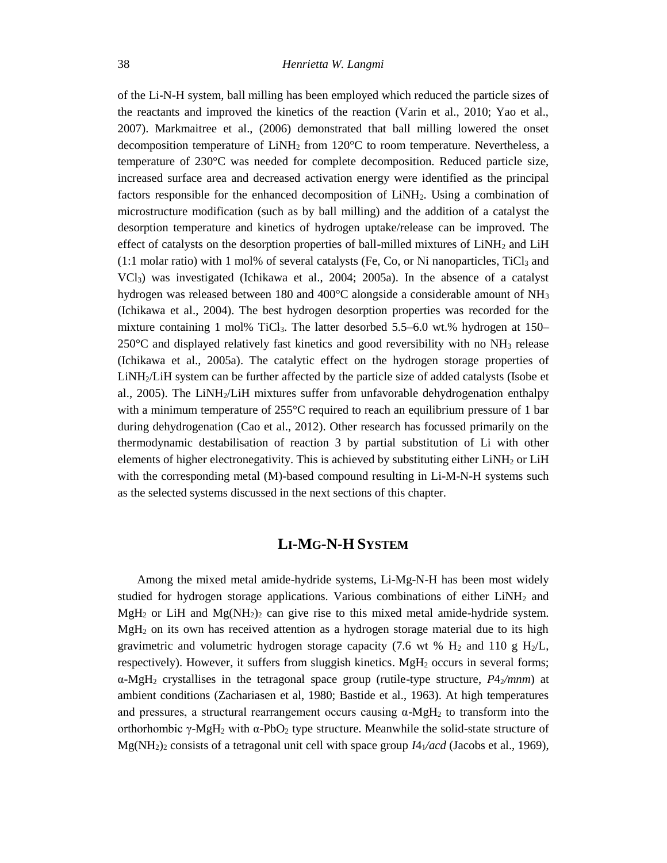of the Li-N-H system, ball milling has been employed which reduced the particle sizes of the reactants and improved the kinetics of the reaction (Varin et al., 2010; Yao et al., 2007). Markmaitree et al., (2006) demonstrated that ball milling lowered the onset decomposition temperature of  $LiNH<sub>2</sub>$  from 120 $^{\circ}$ C to room temperature. Nevertheless, a temperature of 230°C was needed for complete decomposition. Reduced particle size, increased surface area and decreased activation energy were identified as the principal factors responsible for the enhanced decomposition of LiNH2. Using a combination of microstructure modification (such as by ball milling) and the addition of a catalyst the desorption temperature and kinetics of hydrogen uptake/release can be improved. The effect of catalysts on the desorption properties of ball-milled mixtures of  $LiNH<sub>2</sub>$  and  $LiH$  $(1:1 \text{ molar ratio})$  with 1 mol% of several catalysts (Fe, Co, or Ni nanoparticles, TiCl<sub>3</sub> and VCl3) was investigated (Ichikawa et al., 2004; 2005a). In the absence of a catalyst hydrogen was released between 180 and 400 $^{\circ}$ C alongside a considerable amount of NH<sub>3</sub> (Ichikawa et al., 2004). The best hydrogen desorption properties was recorded for the mixture containing 1 mol% TiCl<sub>3</sub>. The latter desorbed 5.5–6.0 wt.% hydrogen at 150–  $250^{\circ}$ C and displayed relatively fast kinetics and good reversibility with no NH<sub>3</sub> release (Ichikawa et al., 2005a). The catalytic effect on the hydrogen storage properties of LiNH2/LiH system can be further affected by the particle size of added catalysts (Isobe et al., 2005). The LiNH2/LiH mixtures suffer from unfavorable dehydrogenation enthalpy with a minimum temperature of 255<sup>o</sup>C required to reach an equilibrium pressure of 1 bar during dehydrogenation (Cao et al., 2012). Other research has focussed primarily on the thermodynamic destabilisation of reaction 3 by partial substitution of Li with other elements of higher electronegativity. This is achieved by substituting either  $LiNH<sub>2</sub>$  or  $LiH$ with the corresponding metal (M)-based compound resulting in Li-M-N-H systems such as the selected systems discussed in the next sections of this chapter.

#### **LI-MG-N-H SYSTEM**

Among the mixed metal amide-hydride systems, Li-Mg-N-H has been most widely studied for hydrogen storage applications. Various combinations of either  $LiNH<sub>2</sub>$  and MgH<sub>2</sub> or LiH and Mg(NH<sub>2</sub>)<sub>2</sub> can give rise to this mixed metal amide-hydride system. MgH<sup>2</sup> on its own has received attention as a hydrogen storage material due to its high gravimetric and volumetric hydrogen storage capacity (7.6 wt %  $H_2$  and 110 g  $H_2/L$ , respectively). However, it suffers from sluggish kinetics. MgH<sub>2</sub> occurs in several forms; α-MgH<sup>2</sup> crystallises in the tetragonal space group (rutile-type structure, *P*42*/mnm*) at ambient conditions (Zachariasen et al, 1980; Bastide et al., 1963). At high temperatures and pressures, a structural rearrangement occurs causing  $\alpha$ -MgH<sub>2</sub> to transform into the orthorhombic γ-MgH<sub>2</sub> with α-PbO<sub>2</sub> type structure. Meanwhile the solid-state structure of  $Mg(NH_2)_2$  consists of a tetragonal unit cell with space group  $I4_1/acd$  (Jacobs et al., 1969),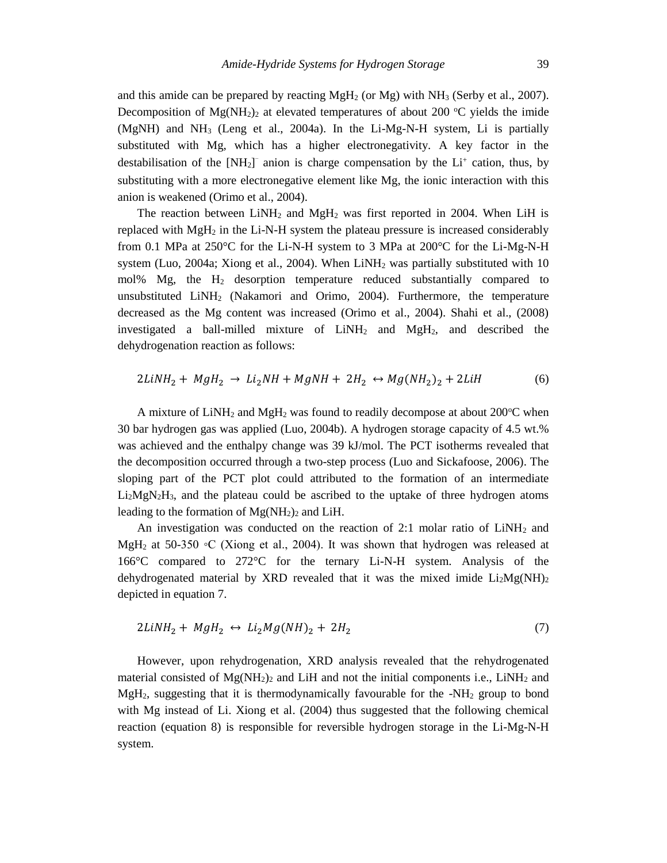and this amide can be prepared by reacting  $MgH_2$  (or  $Mg$ ) with  $NH_3$  (Serby et al., 2007). Decomposition of  $Mg(NH_2)$  at elevated temperatures of about 200 °C yields the imide  $(MgNH)$  and  $NH_3$  (Leng et al., 2004a). In the Li-Mg-N-H system, Li is partially substituted with Mg, which has a higher electronegativity. A key factor in the destabilisation of the  $[NH_2]$ <sup>-</sup> anion is charge compensation by the  $Li^+$  cation, thus, by substituting with a more electronegative element like Mg, the ionic interaction with this anion is weakened (Orimo et al., 2004).

The reaction between  $LiNH<sub>2</sub>$  and  $MgH<sub>2</sub>$  was first reported in 2004. When LiH is replaced with  $MgH_2$  in the Li-N-H system the plateau pressure is increased considerably from 0.1 MPa at 250°C for the Li-N-H system to 3 MPa at 200°C for the Li-Mg-N-H system (Luo, 2004a; Xiong et al., 2004). When  $LiNH<sub>2</sub>$  was partially substituted with 10 mol% Mg, the H<sup>2</sup> desorption temperature reduced substantially compared to unsubstituted  $LiNH<sub>2</sub>$  (Nakamori and Orimo, 2004). Furthermore, the temperature decreased as the Mg content was increased (Orimo et al., 2004). Shahi et al., (2008) investigated a ball-milled mixture of  $LiNH<sub>2</sub>$  and  $MgH<sub>2</sub>$ , and described the dehydrogenation reaction as follows:

$$
2LiNH2 + MgH2 \rightarrow Li2NH + MgNH + 2H2 \leftrightarrow Mg(NH2)2 + 2LiH
$$
 (6)

A mixture of LiNH<sub>2</sub> and MgH<sub>2</sub> was found to readily decompose at about 200 $^{\circ}$ C when 30 bar hydrogen gas was applied (Luo, 2004b). A hydrogen storage capacity of 4.5 wt.% was achieved and the enthalpy change was 39 kJ/mol. The PCT isotherms revealed that the decomposition occurred through a two-step process (Luo and Sickafoose, 2006). The sloping part of the PCT plot could attributed to the formation of an intermediate  $Li<sub>2</sub>MgN<sub>2</sub>H<sub>3</sub>$ , and the plateau could be ascribed to the uptake of three hydrogen atoms leading to the formation of  $Mg(NH_2)$ <sub>2</sub> and LiH.

An investigation was conducted on the reaction of 2:1 molar ratio of  $LiNH<sub>2</sub>$  and MgH<sub>2</sub> at 50-350  $\circ$ C (Xiong et al., 2004). It was shown that hydrogen was released at 166°C compared to 272°C for the ternary Li-N-H system. Analysis of the dehydrogenated material by XRD revealed that it was the mixed imide  $Li<sub>2</sub>Mg(NH)<sub>2</sub>$ depicted in equation 7.

$$
2LiNH2 + MgH2 \leftrightarrow Li2Mg(NH)2 + 2H2
$$
\n(7)

However, upon rehydrogenation, XRD analysis revealed that the rehydrogenated material consisted of  $Mg(NH_2)_2$  and LiH and not the initial components i.e., LiNH<sub>2</sub> and  $MgH<sub>2</sub>$ , suggesting that it is thermodynamically favourable for the -NH<sub>2</sub> group to bond with Mg instead of Li. Xiong et al. (2004) thus suggested that the following chemical reaction (equation 8) is responsible for reversible hydrogen storage in the Li-Mg-N-H system.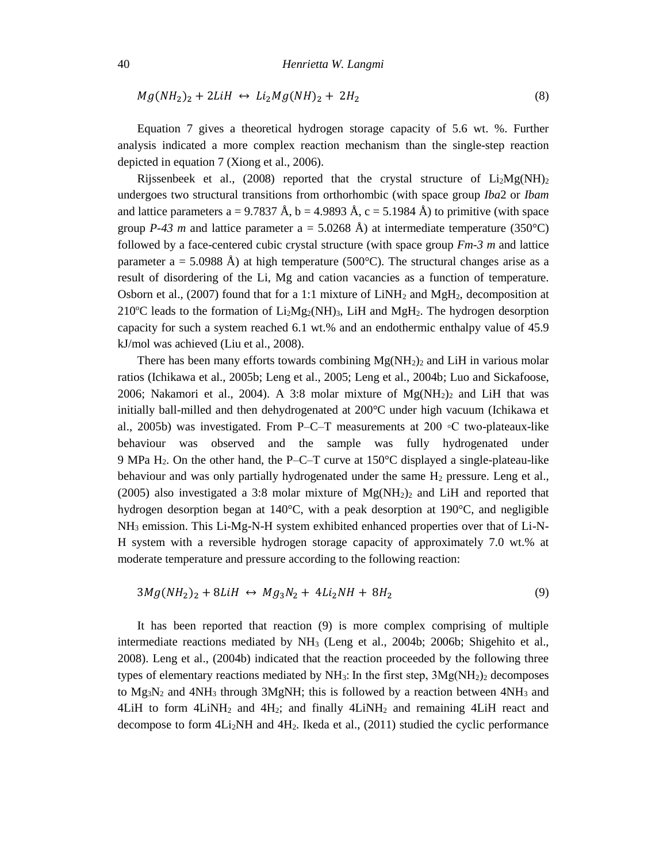$$
Mg(NH_2)_2 + 2LiH \leftrightarrow Li_2Mg(NH)_2 + 2H_2 \tag{8}
$$

Equation 7 gives a theoretical hydrogen storage capacity of 5.6 wt. %. Further analysis indicated a more complex reaction mechanism than the single-step reaction depicted in equation 7 (Xiong et al., 2006).

Rijssenbeek et al., (2008) reported that the crystal structure of  $Li<sub>2</sub>Mg(NH)<sub>2</sub>$ undergoes two structural transitions from orthorhombic (with space group *Iba*2 or *Ibam* and lattice parameters a = 9.7837 Å, b = 4.9893 Å, c = 5.1984 Å) to primitive (with space group *P-43 m* and lattice parameter  $a = 5.0268$  Å) at intermediate temperature (350°C) followed by a face-centered cubic crystal structure (with space group *Fm-3 m* and lattice parameter a = 5.0988 Å) at high temperature (500 $^{\circ}$ C). The structural changes arise as a result of disordering of the Li, Mg and cation vacancies as a function of temperature. Osborn et al., (2007) found that for a 1:1 mixture of  $LiNH<sub>2</sub>$  and MgH<sub>2</sub>, decomposition at  $210^{\circ}$ C leads to the formation of Li<sub>2</sub>Mg<sub>2</sub>(NH)<sub>3</sub>, LiH and MgH<sub>2</sub>. The hydrogen desorption capacity for such a system reached 6.1 wt.% and an endothermic enthalpy value of 45.9 kJ/mol was achieved (Liu et al., 2008).

There has been many efforts towards combining  $Mg(NH_2)_2$  and LiH in various molar ratios (Ichikawa et al., 2005b; Leng et al., 2005; Leng et al., 2004b; Luo and Sickafoose, 2006; Nakamori et al., 2004). A 3:8 molar mixture of  $Mg(NH_2)$  and LiH that was initially ball-milled and then dehydrogenated at 200°C under high vacuum (Ichikawa et al., 2005b) was investigated. From P–C–T measurements at 200 ◦C two-plateaux-like behaviour was observed and the sample was fully hydrogenated under 9 MPa  $H_2$ . On the other hand, the P–C–T curve at 150 $\degree$ C displayed a single-plateau-like behaviour and was only partially hydrogenated under the same  $H_2$  pressure. Leng et al., (2005) also investigated a 3:8 molar mixture of  $Mg(NH_2)$  and LiH and reported that hydrogen desorption began at 140°C, with a peak desorption at 190°C, and negligible  $NH<sub>3</sub>$  emission. This Li-Mg-N-H system exhibited enhanced properties over that of Li-N-H system with a reversible hydrogen storage capacity of approximately 7.0 wt.% at moderate temperature and pressure according to the following reaction:

$$
3Mg(NH_2)_2 + 8LiH \leftrightarrow Mg_3N_2 + 4Li_2NH + 8H_2 \tag{9}
$$

It has been reported that reaction (9) is more complex comprising of multiple intermediate reactions mediated by  $NH<sub>3</sub>$  (Leng et al., 2004b; 2006b; Shigehito et al., 2008). Leng et al., (2004b) indicated that the reaction proceeded by the following three types of elementary reactions mediated by  $NH_3$ : In the first step,  $3Mg(NH_2)$ <sub>2</sub> decomposes to  $Mg_3N_2$  and  $4NH_3$  through 3MgNH; this is followed by a reaction between  $4NH_3$  and 4LiH to form  $4LiNH<sub>2</sub>$  and  $4H<sub>2</sub>$ ; and finally  $4LiNH<sub>2</sub>$  and remaining  $4LiH$  react and decompose to form 4Li2NH and 4H2. Ikeda et al., (2011) studied the cyclic performance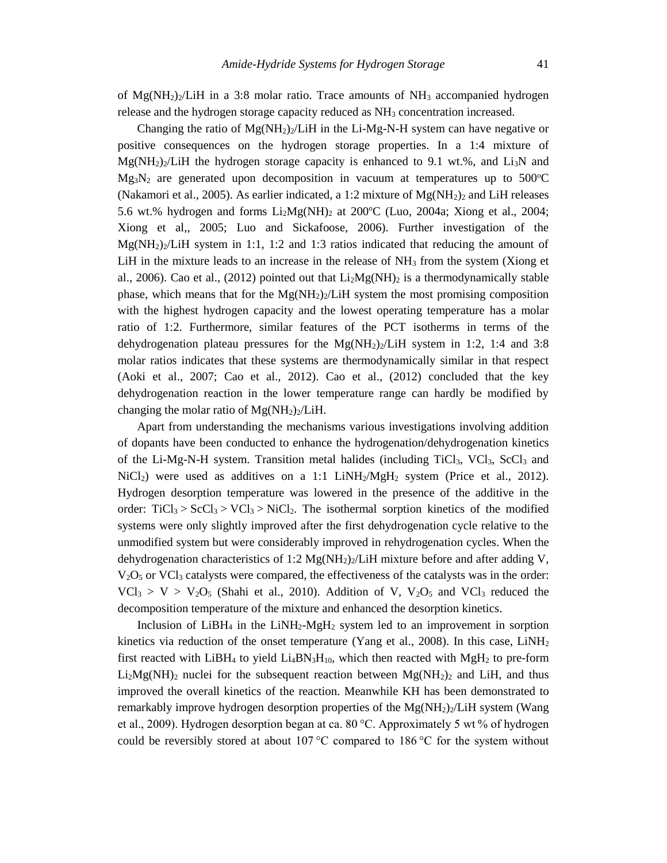of  $Mg(NH_2)_2/LiH$  in a 3:8 molar ratio. Trace amounts of  $NH_3$  accompanied hydrogen release and the hydrogen storage capacity reduced as NH<sub>3</sub> concentration increased.

Changing the ratio of  $Mg(NH_2)/LiH$  in the Li-Mg-N-H system can have negative or positive consequences on the hydrogen storage properties. In a 1:4 mixture of  $Mg(NH<sub>2</sub>)<sub>2</sub>/LiH$  the hydrogen storage capacity is enhanced to 9.1 wt.%, and Li<sub>3</sub>N and  $Mg_3N_2$  are generated upon decomposition in vacuum at temperatures up to 500°C (Nakamori et al., 2005). As earlier indicated, a 1:2 mixture of  $Mg(NH_2)$  and LiH releases 5.6 wt.% hydrogen and forms  $Li<sub>2</sub>Mg(NH)<sub>2</sub>$  at 200°C (Luo, 2004a; Xiong et al., 2004; Xiong et al,, 2005; Luo and Sickafoose, 2006). Further investigation of the  $Mg(NH<sub>2</sub>)<sub>2</sub>/LiH$  system in 1:1, 1:2 and 1:3 ratios indicated that reducing the amount of LiH in the mixture leads to an increase in the release of  $NH<sub>3</sub>$  from the system (Xiong et al., 2006). Cao et al., (2012) pointed out that  $Li<sub>2</sub>Mg(NH)<sub>2</sub>$  is a thermodynamically stable phase, which means that for the  $Mg(NH_2)_2/LiH$  system the most promising composition with the highest hydrogen capacity and the lowest operating temperature has a molar ratio of 1:2. Furthermore, similar features of the PCT isotherms in terms of the dehydrogenation plateau pressures for the  $Mg(NH_2)_2/LiH$  system in 1:2, 1:4 and 3:8 molar ratios indicates that these systems are thermodynamically similar in that respect (Aoki et al., 2007; Cao et al., 2012). Cao et al., (2012) concluded that the key dehydrogenation reaction in the lower temperature range can hardly be modified by changing the molar ratio of  $Mg(NH_2)_2/LiH$ .

Apart from understanding the mechanisms various investigations involving addition of dopants have been conducted to enhance the hydrogenation/dehydrogenation kinetics of the Li-Mg-N-H system. Transition metal halides (including TiCl<sub>3</sub>, VCl<sub>3</sub>, ScCl<sub>3</sub> and  $NiCl<sub>2</sub>$ ) were used as additives on a 1:1 LiNH<sub>2</sub>/MgH<sub>2</sub> system (Price et al., 2012). Hydrogen desorption temperature was lowered in the presence of the additive in the order:  $TiCl_3 > ScCl_3 > VCl_3 > NiCl_2$ . The isothermal sorption kinetics of the modified systems were only slightly improved after the first dehydrogenation cycle relative to the unmodified system but were considerably improved in rehydrogenation cycles. When the dehydrogenation characteristics of 1:2 Mg(NH<sub>2</sub>)<sub>2</sub>/LiH mixture before and after adding V,  $V<sub>2</sub>O<sub>5</sub>$  or VCl<sub>3</sub> catalysts were compared, the effectiveness of the catalysts was in the order:  $VCl_3 > V > V_2O_5$  (Shahi et al., 2010). Addition of V, V<sub>2</sub>O<sub>5</sub> and VCl<sub>3</sub> reduced the decomposition temperature of the mixture and enhanced the desorption kinetics.

Inclusion of LiBH<sub>4</sub> in the LiNH<sub>2</sub>-MgH<sub>2</sub> system led to an improvement in sorption kinetics via reduction of the onset temperature (Yang et al., 2008). In this case,  $LiNH<sub>2</sub>$ first reacted with LiBH<sub>4</sub> to yield  $Li_4BN_3H_{10}$ , which then reacted with MgH<sub>2</sub> to pre-form  $Li<sub>2</sub>Mg(NH)<sub>2</sub>$  nuclei for the subsequent reaction between Mg(NH<sub>2</sub>)<sub>2</sub> and LiH, and thus improved the overall kinetics of the reaction. Meanwhile KH has been demonstrated to remarkably improve hydrogen desorption properties of the  $Mg(NH_2)_2/LiH$  system (Wang et al., 2009). Hydrogen desorption began at ca. 80 °C. Approximately 5 wt % of hydrogen could be reversibly stored at about 107 $\degree$ C compared to 186 $\degree$ C for the system without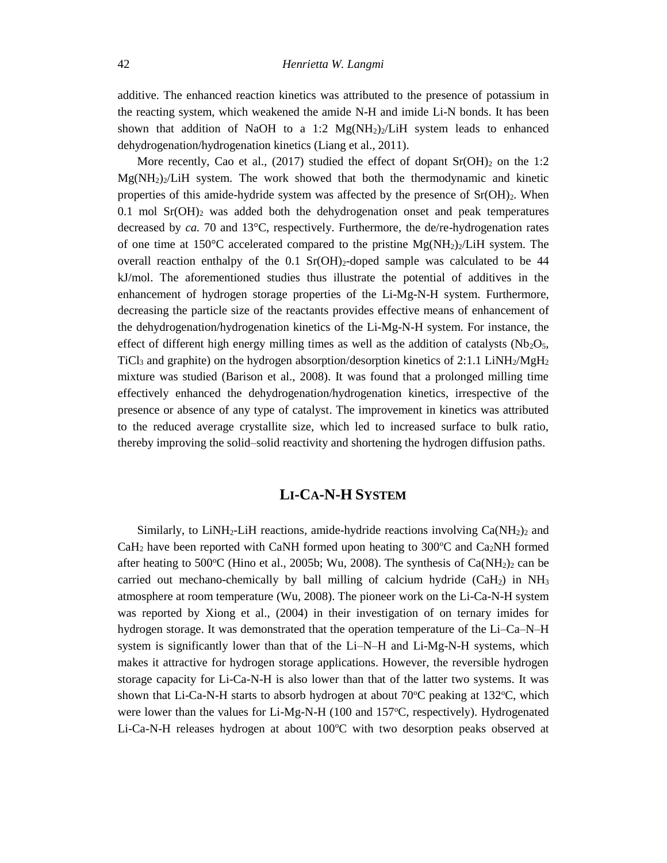additive. The enhanced reaction kinetics was attributed to the presence of potassium in the reacting system, which weakened the amide N-H and imide Li-N bonds. It has been shown that addition of NaOH to a 1:2  $Mg(NH_2)/LiH$  system leads to enhanced dehydrogenation/hydrogenation kinetics (Liang et al., 2011).

More recently, Cao et al., (2017) studied the effect of dopant  $Sr(OH)_2$  on the 1:2  $Mg(NH_2)_2/LiH$  system. The work showed that both the thermodynamic and kinetic properties of this amide-hydride system was affected by the presence of  $Sr(OH)<sub>2</sub>$ . When  $0.1$  mol Sr(OH)<sub>2</sub> was added both the dehydrogenation onset and peak temperatures decreased by *ca.* 70 and 13°C, respectively. Furthermore, the de/re-hydrogenation rates of one time at 150 $\degree$ C accelerated compared to the pristine Mg(NH<sub>2</sub>)<sub>2</sub>/LiH system. The overall reaction enthalpy of the  $0.1$  Sr(OH)<sub>2</sub>-doped sample was calculated to be 44 kJ/mol. The aforementioned studies thus illustrate the potential of additives in the enhancement of hydrogen storage properties of the Li-Mg-N-H system. Furthermore, decreasing the particle size of the reactants provides effective means of enhancement of the dehydrogenation/hydrogenation kinetics of the Li-Mg-N-H system. For instance, the effect of different high energy milling times as well as the addition of catalysts ( $Nb<sub>2</sub>O<sub>5</sub>$ , TiCl<sub>3</sub> and graphite) on the hydrogen absorption/desorption kinetics of 2:1.1 LiNH<sub>2</sub>/MgH<sub>2</sub> mixture was studied (Barison et al., 2008). It was found that a prolonged milling time effectively enhanced the dehydrogenation/hydrogenation kinetics, irrespective of the presence or absence of any type of catalyst. The improvement in kinetics was attributed to the reduced average crystallite size, which led to increased surface to bulk ratio, thereby improving the solid–solid reactivity and shortening the hydrogen diffusion paths.

#### **LI-CA-N-H SYSTEM**

Similarly, to LiNH<sub>2</sub>-LiH reactions, amide-hydride reactions involving  $Ca(NH<sub>2</sub>)<sub>2</sub>$  and CaH<sub>2</sub> have been reported with CaNH formed upon heating to 300 $\degree$ C and Ca<sub>2</sub>NH formed after heating to 500°C (Hino et al., 2005b; Wu, 2008). The synthesis of  $Ca(NH<sub>2</sub>)<sub>2</sub>$  can be carried out mechano-chemically by ball milling of calcium hydride (CaH<sub>2</sub>) in NH<sub>3</sub> atmosphere at room temperature (Wu, 2008). The pioneer work on the Li-Ca-N-H system was reported by Xiong et al., (2004) in their investigation of on ternary imides for hydrogen storage. It was demonstrated that the operation temperature of the Li–Ca–N–H system is significantly lower than that of the Li–N–H and Li-Mg-N-H systems, which makes it attractive for hydrogen storage applications. However, the reversible hydrogen storage capacity for Li-Ca-N-H is also lower than that of the latter two systems. It was shown that Li-Ca-N-H starts to absorb hydrogen at about  $70^{\circ}$ C peaking at  $132^{\circ}$ C, which were lower than the values for Li-Mg-N-H (100 and 157 $\degree$ C, respectively). Hydrogenated Li-Ca-N-H releases hydrogen at about  $100^{\circ}$ C with two desorption peaks observed at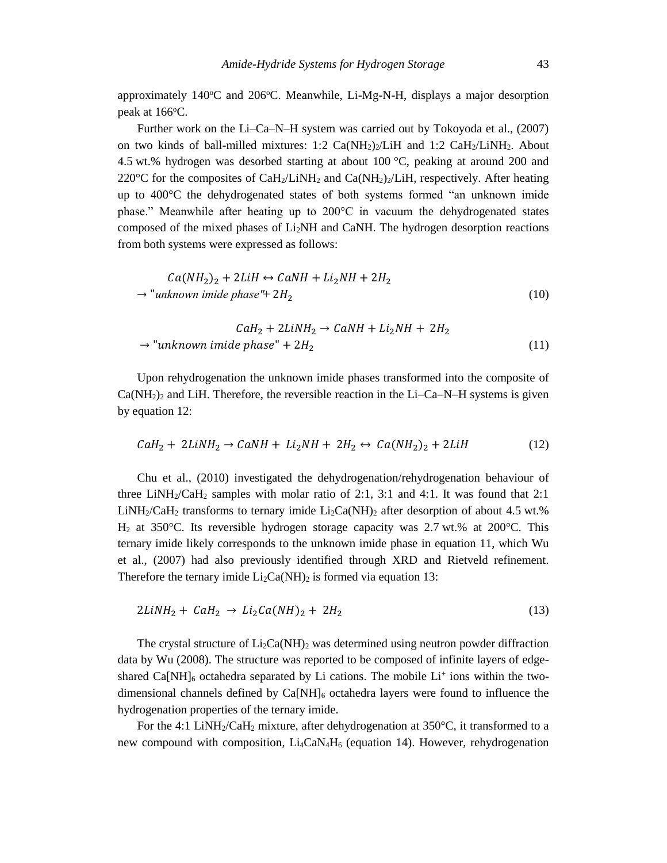approximately  $140^{\circ}$ C and  $206^{\circ}$ C. Meanwhile, Li-Mg-N-H, displays a major desorption peak at  $166^{\circ}$ C.

Further work on the Li–Ca–N–H system was carried out by Tokoyoda et al., (2007) on two kinds of ball-milled mixtures:  $1:2 \text{ Ca(NH}_2)/L\text{H}$  and  $1:2 \text{ CaH}_2/L\text{iNH}_2$ . About 4.5 wt.% hydrogen was desorbed starting at about 100 °C, peaking at around 200 and 220 $^{\circ}$ C for the composites of CaH<sub>2</sub>/LiNH<sub>2</sub> and Ca(NH<sub>2</sub>)<sub>2</sub>/LiH, respectively. After heating up to 400°C the dehydrogenated states of both systems formed "an unknown imide phase." Meanwhile after heating up to 200°C in vacuum the dehydrogenated states composed of the mixed phases of Li2NH and CaNH. The hydrogen desorption reactions from both systems were expressed as follows:

$$
Ca(NH2)2 + 2LiH \leftrightarrow CaNH + Li2NH + 2H2
$$
  
\n
$$
\rightarrow
$$
"unknown imide phase" + 2H<sub>2</sub> (10)

$$
CaH_2 + 2LiNH_2 \rightarrow CaNH + Li_2NH + 2H_2
$$
  
\n
$$
\rightarrow
$$
"unknown imide phase" + 2H<sub>2</sub> (11)

Upon rehydrogenation the unknown imide phases transformed into the composite of  $Ca(NH<sub>2</sub>)<sub>2</sub>$  and LiH. Therefore, the reversible reaction in the Li–Ca–N–H systems is given by equation 12:

$$
CaH_2 + 2LiNH_2 \rightarrow CaNH + Li_2NH + 2H_2 \leftrightarrow Ca(NH_2)_2 + 2LiH \tag{12}
$$

Chu et al., (2010) investigated the dehydrogenation/rehydrogenation behaviour of three LiNH<sub>2</sub>/CaH<sub>2</sub> samples with molar ratio of 2:1, 3:1 and 4:1. It was found that 2:1 LiNH<sub>2</sub>/CaH<sub>2</sub> transforms to ternary imide Li<sub>2</sub>Ca(NH)<sub>2</sub> after desorption of about 4.5 wt.%  $H<sub>2</sub>$  at 350°C. Its reversible hydrogen storage capacity was 2.7 wt.% at 200°C. This ternary imide likely corresponds to the unknown imide phase in equation 11, which Wu et al., (2007) had also previously identified through XRD and Rietveld refinement. Therefore the ternary imide  $Li_2Ca(NH)_2$  is formed via equation 13:

$$
2LiNH2 + CaH2 \rightarrow Li2Ca(NH)2 + 2H2
$$
\n(13)

The crystal structure of  $Li_2Ca(NH)_2$  was determined using neutron powder diffraction data by Wu (2008). The structure was reported to be composed of infinite layers of edgeshared Ca[NH] $_6$  octahedra separated by Li cations. The mobile  $Li^+$  ions within the twodimensional channels defined by  $Ca[NH]_6$  octahedra layers were found to influence the hydrogenation properties of the ternary imide.

For the 4:1 LiNH<sub>2</sub>/CaH<sub>2</sub> mixture, after dehydrogenation at  $350^{\circ}$ C, it transformed to a new compound with composition, Li<sub>4</sub>CaN<sub>4</sub>H<sub>6</sub> (equation 14). However, rehydrogenation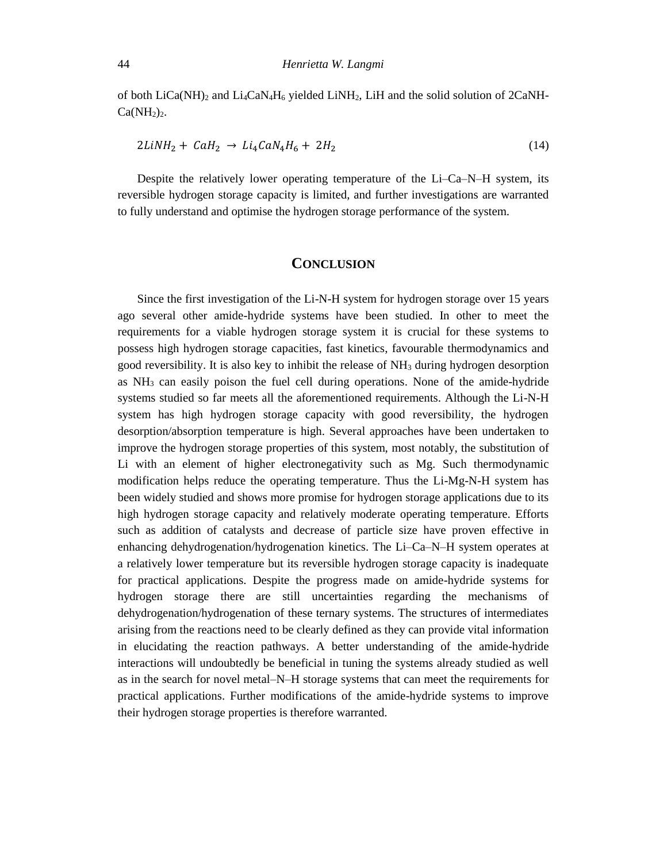of both  $LiCa(NH)_2$  and  $Li_4CaN_4H_6$  yielded  $LiNH_2$ , LiH and the solid solution of  $2CaNH$ - $Ca(NH<sub>2</sub>)<sub>2</sub>$ .

$$
2LiNH2 + CaH2 \rightarrow Li4CaN4H6 + 2H2
$$
\n(14)

Despite the relatively lower operating temperature of the Li–Ca–N–H system, its reversible hydrogen storage capacity is limited, and further investigations are warranted to fully understand and optimise the hydrogen storage performance of the system.

#### **CONCLUSION**

Since the first investigation of the Li-N-H system for hydrogen storage over 15 years ago several other amide-hydride systems have been studied. In other to meet the requirements for a viable hydrogen storage system it is crucial for these systems to possess high hydrogen storage capacities, fast kinetics, favourable thermodynamics and good reversibility. It is also key to inhibit the release of  $NH<sub>3</sub>$  during hydrogen desorption as  $NH<sub>3</sub>$  can easily poison the fuel cell during operations. None of the amide-hydride systems studied so far meets all the aforementioned requirements. Although the Li-N-H system has high hydrogen storage capacity with good reversibility, the hydrogen desorption/absorption temperature is high. Several approaches have been undertaken to improve the hydrogen storage properties of this system, most notably, the substitution of Li with an element of higher electronegativity such as Mg. Such thermodynamic modification helps reduce the operating temperature. Thus the Li-Mg-N-H system has been widely studied and shows more promise for hydrogen storage applications due to its high hydrogen storage capacity and relatively moderate operating temperature. Efforts such as addition of catalysts and decrease of particle size have proven effective in enhancing dehydrogenation/hydrogenation kinetics. The Li–Ca–N–H system operates at a relatively lower temperature but its reversible hydrogen storage capacity is inadequate for practical applications. Despite the progress made on amide-hydride systems for hydrogen storage there are still uncertainties regarding the mechanisms of dehydrogenation/hydrogenation of these ternary systems. The structures of intermediates arising from the reactions need to be clearly defined as they can provide vital information in elucidating the reaction pathways. A better understanding of the amide-hydride interactions will undoubtedly be beneficial in tuning the systems already studied as well as in the search for novel metal–N–H storage systems that can meet the requirements for practical applications. Further modifications of the amide-hydride systems to improve their hydrogen storage properties is therefore warranted.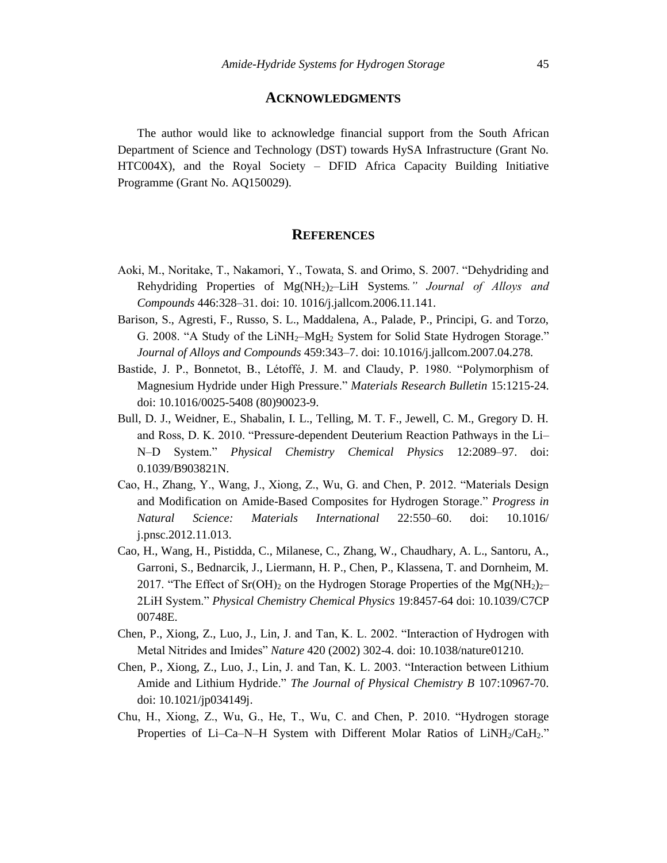#### **ACKNOWLEDGMENTS**

The author would like to acknowledge financial support from the South African Department of Science and Technology (DST) towards HySA Infrastructure (Grant No. HTC004X), and the Royal Society – DFID Africa Capacity Building Initiative Programme (Grant No. AQ150029).

#### **REFERENCES**

- Aoki, M., Noritake, T., Nakamori, Y., Towata, S. and Orimo, S. 2007. "Dehydriding and Rehydriding Properties of Mg(NH2)2–LiH Systems*." Journal of Alloys and Compounds* 446:328–31. doi: 10. 1016/j.jallcom.2006.11.141.
- Barison, S., Agresti, F., Russo, S. L., Maddalena, A., Palade, P., Principi, G. and Torzo, G. 2008. "A Study of the LiNH<sub>2</sub>-MgH<sub>2</sub> System for Solid State Hydrogen Storage." *Journal of Alloys and Compounds* 459:343–7. doi: 10.1016/j.jallcom.2007.04.278.
- Bastide, J. P., Bonnetot, B., Létoffé, J. M. and Claudy, P. 1980. "Polymorphism of Magnesium Hydride under High Pressure." *Materials Research Bulletin* 15:1215-24. doi: 10.1016/0025-5408 (80)90023-9.
- Bull, D. J., Weidner, E., Shabalin, I. L., Telling, M. T. F., Jewell, C. M., Gregory D. H. and Ross, D. K. 2010. "Pressure-dependent Deuterium Reaction Pathways in the Li– N–D System." *Physical Chemistry Chemical Physics* 12:2089–97. doi: 0.1039/B903821N.
- Cao, H., Zhang, Y., Wang, J., Xiong, Z., Wu, G. and Chen, P. 2012. "Materials Design and Modification on Amide-Based Composites for Hydrogen Storage." *Progress in Natural Science: Materials International* 22:550–60. doi: 10.1016/ j.pnsc.2012.11.013.
- Cao, H., Wang, H., Pistidda, C., Milanese, C., Zhang, W., Chaudhary, A. L., Santoru, A., Garroni, S., Bednarcik, J., Liermann, H. P., Chen, P., Klassena, T. and Dornheim, M. 2017. "The Effect of Sr(OH)<sub>2</sub> on the Hydrogen Storage Properties of the Mg(NH<sub>2</sub>)<sub>2</sub>-2LiH System." *Physical Chemistry Chemical Physics* 19:8457-64 doi: 10.1039/C7CP 00748E.
- Chen, P., Xiong, Z., Luo, J., Lin, J. and Tan, K. L. 2002. "Interaction of Hydrogen with Metal Nitrides and Imides" *Nature* 420 (2002) 302-4. doi: 10.1038/nature01210.
- Chen, P., Xiong, Z., Luo, J., Lin, J. and Tan, K. L. 2003. "Interaction between Lithium Amide and Lithium Hydride." *The Journal of Physical Chemistry B* 107:10967-70. doi: 10.1021/jp034149j.
- Chu, H., Xiong, Z., Wu, G., He, T., Wu, C. and Chen, P. 2010. "Hydrogen storage Properties of Li–Ca–N–H System with Different Molar Ratios of  $LiNH<sub>2</sub>/CaH<sub>2</sub>$ ."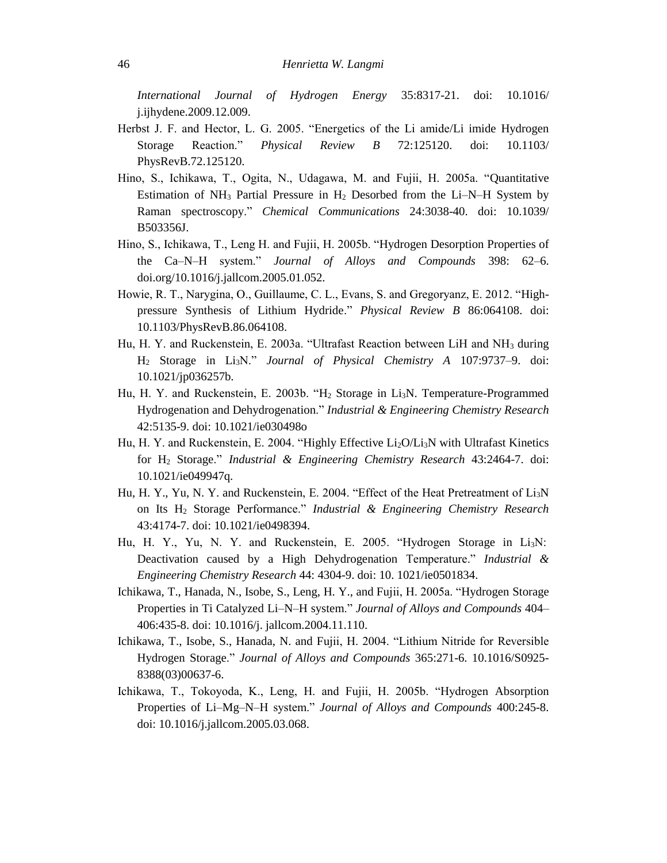*International Journal of Hydrogen Energy* 35:8317-21. doi: 10.1016/ j.ijhydene.2009.12.009.

- Herbst J. F. and Hector, L. G. 2005. "Energetics of the Li amide/Li imide Hydrogen Storage Reaction." *Physical Review B* 72:125120. doi: 10.1103/ PhysRevB.72.125120.
- Hino, S., Ichikawa, T., Ogita, N., Udagawa, M. and Fujii, H. 2005a. "Quantitative Estimation of  $NH_3$  Partial Pressure in  $H_2$  Desorbed from the Li–N–H System by Raman spectroscopy." *Chemical Communications* 24:3038-40. doi: 10.1039/ B503356J.
- Hino, S., Ichikawa, T., Leng H. and Fujii, H. 2005b. "Hydrogen Desorption Properties of the Ca–N–H system." *Journal of Alloys and Compounds* 398: 62–6. doi.org/10.1016/j.jallcom.2005.01.052.
- Howie, R. T., Narygina, O., Guillaume, C. L., Evans, S. and Gregoryanz, E. 2012. "Highpressure Synthesis of Lithium Hydride." *Physical Review B* 86:064108. doi: 10.1103/PhysRevB.86.064108.
- Hu, H. Y. and Ruckenstein, E. 2003a. "Ultrafast Reaction between LiH and NH<sup>3</sup> during H<sup>2</sup> Storage in Li3N." *Journal of Physical Chemistry A* 107:9737–9. doi: 10.1021/jp036257b.
- Hu, H. Y. and Ruckenstein, E. 2003b. "H<sub>2</sub> Storage in Li<sub>3</sub>N. Temperature-Programmed Hydrogenation and Dehydrogenation." *Industrial & Engineering Chemistry Research* 42:5135-9. doi: 10.1021/ie030498o
- Hu, H. Y. and Ruckenstein, E. 2004. "Highly Effective Li<sub>2</sub>O/Li<sub>3</sub>N with Ultrafast Kinetics for H<sup>2</sup> Storage." *Industrial & Engineering Chemistry Research* 43:2464-7. doi: 10.1021/ie049947q.
- Hu, H. Y., Yu, N. Y. and Ruckenstein, E. 2004. "Effect of the Heat Pretreatment of  $Li<sub>3</sub>N$ on Its H<sup>2</sup> Storage Performance." *Industrial & Engineering Chemistry Research* 43:4174-7. doi: 10.1021/ie0498394.
- Hu, H. Y., Yu, N. Y. and Ruckenstein, E. 2005. "Hydrogen Storage in Li3N:  Deactivation caused by a High Dehydrogenation Temperature." *Industrial & Engineering Chemistry Research* 44: 4304-9. doi: 10. 1021/ie0501834.
- Ichikawa, T., Hanada, N., Isobe, S., Leng, H. Y., and Fujii, H. 2005a. "Hydrogen Storage Properties in Ti Catalyzed Li–N–H system." *Journal of Alloys and Compounds* 404– 406:435-8. doi: 10.1016/j. jallcom.2004.11.110.
- Ichikawa, T., Isobe, S., Hanada, N. and Fujii, H. 2004. "Lithium Nitride for Reversible Hydrogen Storage." *Journal of Alloys and Compounds* 365:271-6. 10.1016/S0925- 8388(03)00637-6.
- Ichikawa, T., Tokoyoda, K., Leng, H. and Fujii, H. 2005b. "Hydrogen Absorption Properties of Li–Mg–N–H system." *Journal of Alloys and Compounds* 400:245-8. doi: 10.1016/j.jallcom.2005.03.068.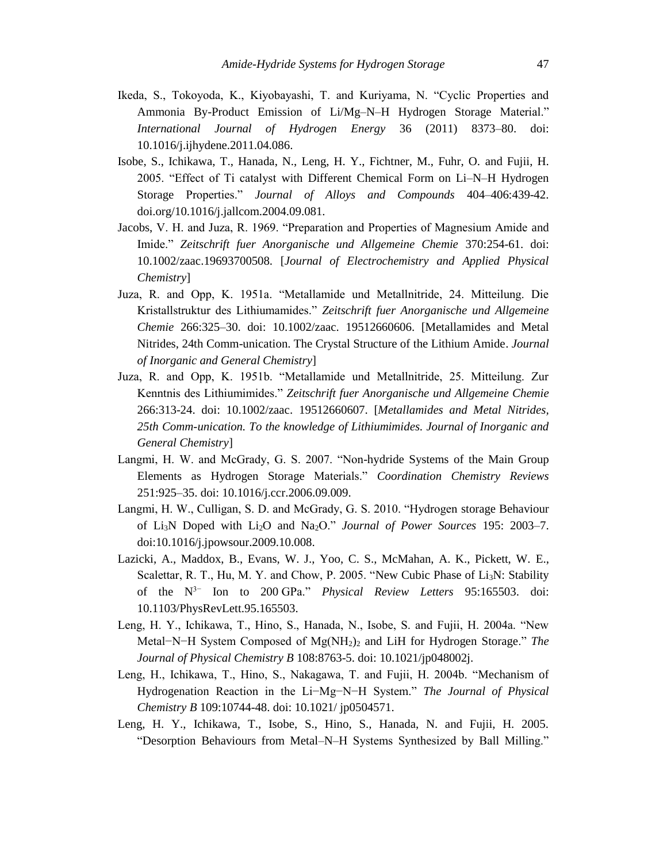- Ikeda, S., Tokoyoda, K., Kiyobayashi, T. and Kuriyama, N. "Cyclic Properties and Ammonia By-Product Emission of Li/Mg–N–H Hydrogen Storage Material." *International Journal of Hydrogen Energy* 36 (2011) 8373–80. doi: 10.1016/j.ijhydene.2011.04.086.
- Isobe, S., Ichikawa, T., Hanada, N., Leng, H. Y., Fichtner, M., Fuhr, O. and Fujii, H. 2005. "Effect of Ti catalyst with Different Chemical Form on Li–N–H Hydrogen Storage Properties." *Journal of Alloys and Compounds* 404–406:439-42. doi.org/10.1016/j.jallcom.2004.09.081.
- Jacobs, V. H. and Juza, R. 1969. "Preparation and Properties of Magnesium Amide and Imide." *Zeitschrift fuer Anorganische und Allgemeine Chemie* 370:254-61. doi: 10.1002/zaac.19693700508. [*Journal of Electrochemistry and Applied Physical Chemistry*]
- Juza, R. and Opp, K. 1951a. "Metallamide und Metallnitride, 24. Mitteilung. Die Kristallstruktur des Lithiumamides." *Zeitschrift fuer Anorganische und Allgemeine Chemie* 266:325–30. doi: 10.1002/zaac. 19512660606. [Metallamides and Metal Nitrides, 24th Comm-unication. The Crystal Structure of the Lithium Amide. *Journal of Inorganic and General Chemistry*]
- Juza, R. and Opp, K. 1951b. "Metallamide und Metallnitride, 25. Mitteilung. Zur Kenntnis des Lithiumimides." *Zeitschrift fuer Anorganische und Allgemeine Chemie* 266:313-24. doi: 10.1002/zaac. 19512660607. [*Metallamides and Metal Nitrides, 25th Comm-unication. To the knowledge of Lithiumimides. Journal of Inorganic and General Chemistry*]
- Langmi, H. W. and McGrady, G. S. 2007. "Non-hydride Systems of the Main Group Elements as Hydrogen Storage Materials." *Coordination Chemistry Reviews* 251:925–35. doi: 10.1016/j.ccr.2006.09.009.
- Langmi, H. W., Culligan, S. D. and McGrady, G. S. 2010. "Hydrogen storage Behaviour of Li3N Doped with Li2O and Na2O." *Journal of Power Sources* 195: 2003–7. doi:10.1016/j.jpowsour.2009.10.008.
- Lazicki, A., Maddox, B., Evans, W. J., Yoo, C. S., McMahan, A. K., Pickett, W. E., Scalettar, R. T., Hu, M. Y. and Chow, P. 2005. "New Cubic Phase of Li<sub>3</sub>N: Stability of the N3− Ion to 200 GPa." *Physical Review Letters* 95:165503. doi: 10.1103/PhysRevLett.95.165503.
- Leng, H. Y., Ichikawa, T., Hino, S., Hanada, N., Isobe, S. and Fujii, H. 2004a. "New Metal−N−H System Composed of Mg(NH2)<sup>2</sup> and LiH for Hydrogen Storage." *The Journal of Physical Chemistry B* 108:8763-5. doi: 10.1021/jp048002j.
- Leng, H., Ichikawa, T., Hino, S., Nakagawa, T. and Fujii, H. 2004b. "Mechanism of Hydrogenation Reaction in the Li−Mg−N−H System." *The Journal of Physical Chemistry B* 109:10744-48. doi: 10.1021/ jp0504571.
- Leng, H. Y., Ichikawa, T., Isobe, S., Hino, S., Hanada, N. and Fujii, H. 2005. "Desorption Behaviours from Metal–N–H Systems Synthesized by Ball Milling."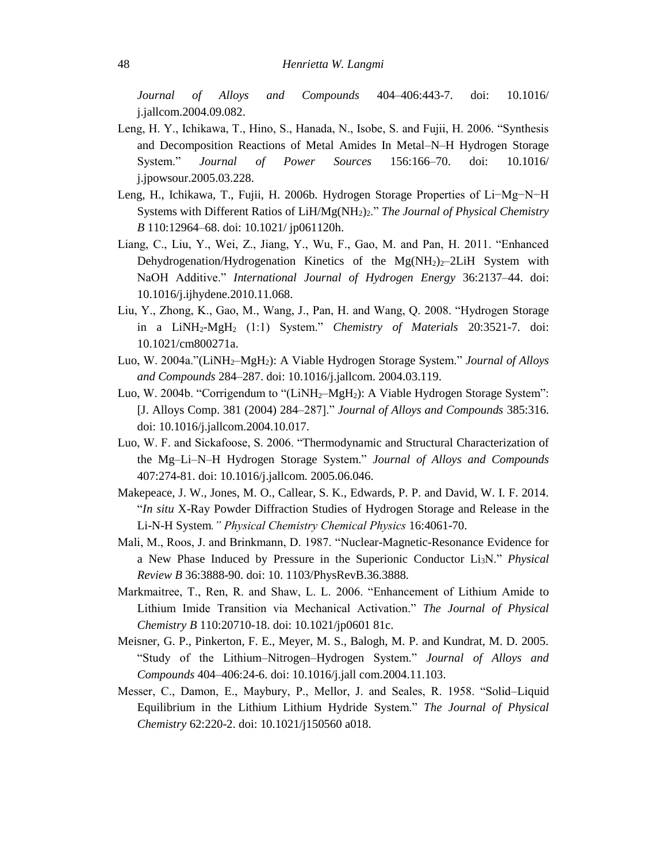*Journal of Alloys and Compounds* 404–406:443-7. doi: 10.1016/ j.jallcom.2004.09.082.

- Leng, H. Y., Ichikawa, T., Hino, S., Hanada, N., Isobe, S. and Fujii, H. 2006. "Synthesis and Decomposition Reactions of Metal Amides In Metal–N–H Hydrogen Storage System." *Journal of Power Sources* 156:166–70. doi: 10.1016/ j.jpowsour.2005.03.228.
- Leng, H., Ichikawa, T., Fujii, H. 2006b. Hydrogen Storage Properties of Li−Mg−N−H Systems with Different Ratios of LiH/Mg(NH2)2." *The Journal of Physical Chemistry B* 110:12964–68. doi: 10.1021/ jp061120h.
- Liang, C., Liu, Y., Wei, Z., Jiang, Y., Wu, F., Gao, M. and Pan, H. 2011. "Enhanced Dehydrogenation/Hydrogenation Kinetics of the  $Mg(NH_2)_{2}$ –2LiH System with NaOH Additive." *International Journal of Hydrogen Energy* 36:2137–44. doi: 10.1016/j.ijhydene.2010.11.068.
- Liu, Y., Zhong, K., Gao, M., Wang, J., Pan, H. and Wang, Q. 2008. "Hydrogen Storage in a LiNH2-MgH<sup>2</sup> (1:1) System." *Chemistry of Materials* 20:3521-7. doi: 10.1021/cm800271a.
- Luo, W. 2004a."(LiNH2–MgH2): A Viable Hydrogen Storage System." *Journal of Alloys and Compounds* 284–287. doi: 10.1016/j.jallcom. 2004.03.119.
- Luo, W. 2004b. "Corrigendum to "(LiNH<sub>2</sub>–MgH<sub>2</sub>): A Viable Hydrogen Storage System": [J. Alloys Comp. 381 (2004) 284–287]." *Journal of Alloys and Compounds* 385:316. doi: 10.1016/j.jallcom.2004.10.017.
- Luo, W. F. and Sickafoose, S. 2006. "Thermodynamic and Structural Characterization of the Mg–Li–N–H Hydrogen Storage System." *Journal of Alloys and Compounds* 407:274-81. doi: 10.1016/j.jallcom. 2005.06.046.
- Makepeace, J. W., Jones, M. O., Callear, S. K., Edwards, P. P. and David, W. I. F. 2014. "*In situ* X-Ray Powder Diffraction Studies of Hydrogen Storage and Release in the Li-N-H System*." Physical Chemistry Chemical Physics* 16:4061-70.
- Mali, M., Roos, J. and Brinkmann, D. 1987. "Nuclear-Magnetic-Resonance Evidence for a New Phase Induced by Pressure in the Superionic Conductor Li3N." *Physical Review B* 36:3888-90. doi: 10. 1103/PhysRevB.36.3888.
- Markmaitree, T., Ren, R. and Shaw, L. L. 2006. "Enhancement of Lithium Amide to Lithium Imide Transition via Mechanical Activation." *The Journal of Physical Chemistry B* 110:20710-18. doi: 10.1021/jp0601 81c.
- Meisner, G. P., Pinkerton, F. E., Meyer, M. S., Balogh, M. P. and Kundrat, M. D. 2005. "Study of the Lithium–Nitrogen–Hydrogen System." *Journal of Alloys and Compounds* 404–406:24-6. doi: 10.1016/j.jall com.2004.11.103.
- Messer, C., Damon, E., Maybury, P., Mellor, J. and Seales, R. 1958. "Solid–Liquid Equilibrium in the Lithium Lithium Hydride System." *The Journal of Physical Chemistry* 62:220-2. doi: 10.1021/j150560 a018.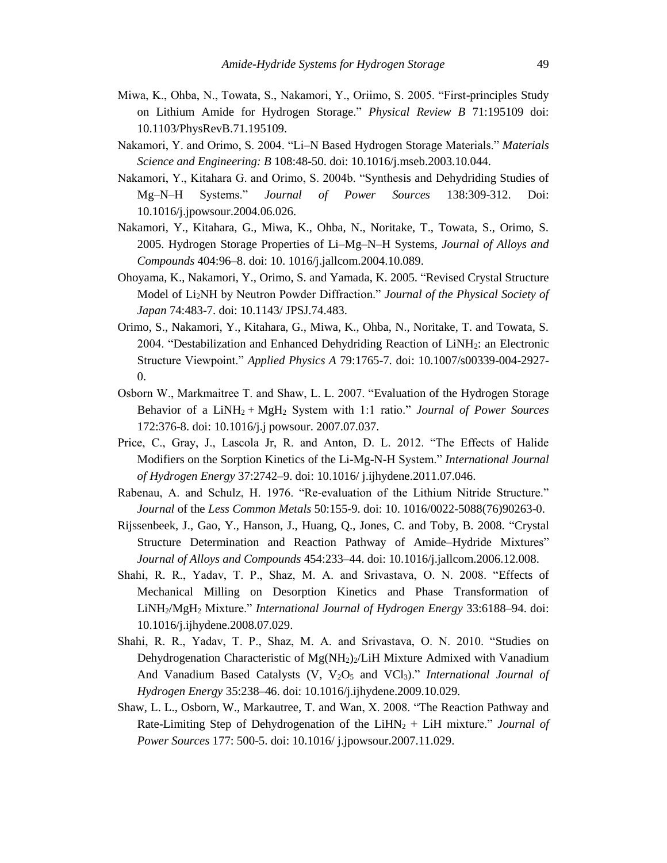- Miwa, K., Ohba, N., Towata, S., Nakamori, Y., Oriimo, S. 2005. "First-principles Study on Lithium Amide for Hydrogen Storage." *Physical Review B* 71:195109 doi: 10.1103/PhysRevB.71.195109.
- Nakamori, Y. and Orimo, S. 2004. "Li–N Based Hydrogen Storage Materials." *Materials Science and Engineering: B* 108:48-50. doi: 10.1016/j.mseb.2003.10.044.
- Nakamori, Y., Kitahara G. and Orimo, S. 2004b. "Synthesis and Dehydriding Studies of Mg–N–H Systems." *Journal of Power Sources* 138:309-312. Doi: 10.1016/j.jpowsour.2004.06.026.
- Nakamori, Y., Kitahara, G., Miwa, K., Ohba, N., Noritake, T., Towata, S., Orimo, S. 2005. Hydrogen Storage Properties of Li–Mg–N–H Systems, *Journal of Alloys and Compounds* 404:96–8. doi: 10. 1016/j.jallcom.2004.10.089.
- Ohoyama, K., Nakamori, Y., Orimo, S. and Yamada, K. 2005. "Revised Crystal Structure Model of Li2NH by Neutron Powder Diffraction." *Journal of the Physical Society of Japan* 74:483-7. doi: 10.1143/ JPSJ.74.483.
- Orimo, S., Nakamori, Y., Kitahara, G., Miwa, K., Ohba, N., Noritake, T. and Towata, S. 2004. "Destabilization and Enhanced Dehydriding Reaction of LiNH2: an Electronic Structure Viewpoint." *Applied Physics A* 79:1765-7. doi: 10.1007/s00339-004-2927- 0.
- Osborn W., Markmaitree T. and Shaw, L. L. 2007. "Evaluation of the Hydrogen Storage Behavior of a LiNH<sup>2</sup> + MgH<sup>2</sup> System with 1:1 ratio." *Journal of Power Sources* 172:376-8. doi: 10.1016/j.j powsour. 2007.07.037.
- Price, C., Gray, J., Lascola Jr, R. and Anton, D. L. 2012. "The Effects of Halide Modifiers on the Sorption Kinetics of the Li-Mg-N-H System." *International Journal of Hydrogen Energy* 37:2742–9. doi: 10.1016/ j.ijhydene.2011.07.046.
- Rabenau, A. and Schulz, H. 1976. "Re-evaluation of the Lithium Nitride Structure." *Journal* of the *Less Common Metals* 50:155-9. doi: 10. 1016/0022-5088(76)90263-0.
- Rijssenbeek, J., Gao, Y., Hanson, J., Huang, Q., Jones, C. and Toby, B. 2008. "Crystal Structure Determination and Reaction Pathway of Amide–Hydride Mixtures" *Journal of Alloys and Compounds* 454:233–44. doi: 10.1016/j.jallcom.2006.12.008.
- Shahi, R. R., Yadav, T. P., Shaz, M. A. and Srivastava, O. N. 2008. "Effects of Mechanical Milling on Desorption Kinetics and Phase Transformation of LiNH2/MgH<sup>2</sup> Mixture." *International Journal of Hydrogen Energy* 33:6188–94. doi: 10.1016/j.ijhydene.2008.07.029.
- Shahi, R. R., Yadav, T. P., Shaz, M. A. and Srivastava, O. N. 2010. "Studies on Dehydrogenation Characteristic of  $Mg(NH_2)/LH$  Mixture Admixed with Vanadium And Vanadium Based Catalysts (V, V<sub>2</sub>O<sub>5</sub> and VCl<sub>3</sub>)." *International Journal of Hydrogen Energy* 35:238–46. doi: 10.1016/j.ijhydene.2009.10.029.
- Shaw, L. L., Osborn, W., Markautree, T. and Wan, X. 2008. "The Reaction Pathway and Rate-Limiting Step of Dehydrogenation of the LiHN<sub>2</sub> + LiH mixture." *Journal of Power Sources* 177: 500-5. doi: 10.1016/ j.jpowsour.2007.11.029.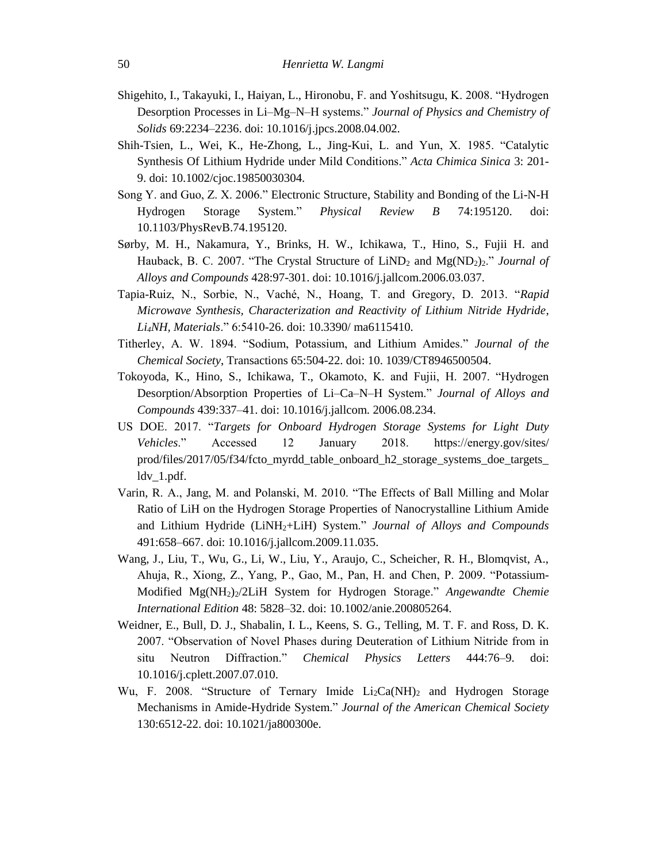- Shigehito, I., Takayuki, I., Haiyan, L., Hironobu, F. and Yoshitsugu, K. 2008. "Hydrogen Desorption Processes in Li–Mg–N–H systems." *Journal of Physics and Chemistry of Solids* 69:2234–2236. doi: 10.1016/j.jpcs.2008.04.002.
- Shih-Tsien, L., Wei, K., He-Zhong, L., Jing-Kui, L. and Yun, X. 1985. "Catalytic Synthesis Of Lithium Hydride under Mild Conditions." *Acta Chimica Sinica* 3: 201- 9. doi: 10.1002/cjoc.19850030304.
- Song Y. and Guo, Z. X. 2006." Electronic Structure, Stability and Bonding of the Li-N-H Hydrogen Storage System." *Physical Review B* 74:195120. doi: 10.1103/PhysRevB.74.195120.
- Sørby, M. H., Nakamura, Y., Brinks, H. W., Ichikawa, T., Hino, S., Fujii H. and Hauback, B. C. 2007. "The Crystal Structure of LiND<sub>2</sub> and Mg(ND<sub>2</sub>)<sub>2</sub>." *Journal of Alloys and Compounds* 428:97-301. doi: 10.1016/j.jallcom.2006.03.037.
- Tapia-Ruiz, N., Sorbie, N., Vaché, N., Hoang, T. and Gregory, D. 2013. "*Rapid Microwave Synthesis, Characterization and Reactivity of Lithium Nitride Hydride, Li4NH, Materials*." 6:5410-26. doi: 10.3390/ ma6115410.
- Titherley, A. W. 1894. "Sodium, Potassium, and Lithium Amides." *Journal of the Chemical Society*, Transactions 65:504-22. doi: 10. 1039/CT8946500504.
- Tokoyoda, K., Hino, S., Ichikawa, T., Okamoto, K. and Fujii, H. 2007. "Hydrogen Desorption/Absorption Properties of Li–Ca–N–H System." *Journal of Alloys and Compounds* 439:337–41. doi: 10.1016/j.jallcom. 2006.08.234.
- US DOE. 2017. "*Targets for Onboard Hydrogen Storage Systems for Light Duty Vehicles*." Accessed 12 January 2018. https://energy.gov/sites/ prod/files/2017/05/f34/fcto\_myrdd\_table\_onboard\_h2\_storage\_systems\_doe\_targets\_ ldv\_1.pdf.
- Varin, R. A., Jang, M. and Polanski, M. 2010. "The Effects of Ball Milling and Molar Ratio of LiH on the Hydrogen Storage Properties of Nanocrystalline Lithium Amide and Lithium Hydride (LiNH2+LiH) System." *Journal of Alloys and Compounds* 491:658–667. doi: 10.1016/j.jallcom.2009.11.035.
- Wang, J., Liu, T., Wu, G., Li, W., Liu, Y., Araujo, C., Scheicher, R. H., Blomqvist, A., Ahuja, R., Xiong, Z., Yang, P., Gao, M., Pan, H. and Chen, P. 2009. "Potassium-Modified Mg(NH2)2/2LiH System for Hydrogen Storage." *Angewandte Chemie International Edition* 48: 5828–32. doi: 10.1002/anie.200805264.
- Weidner, E., Bull, D. J., Shabalin, I. L., Keens, S. G., Telling, M. T. F. and Ross, D. K. 2007. "Observation of Novel Phases during Deuteration of Lithium Nitride from in situ Neutron Diffraction." *Chemical Physics Letters* 444:76–9. doi: 10.1016/j.cplett.2007.07.010.
- Wu, F. 2008. "Structure of Ternary Imide  $Li_2Ca(NH)_2$  and Hydrogen Storage Mechanisms in Amide-Hydride System." *Journal of the American Chemical Society* 130:6512-22. doi: 10.1021/ja800300e.